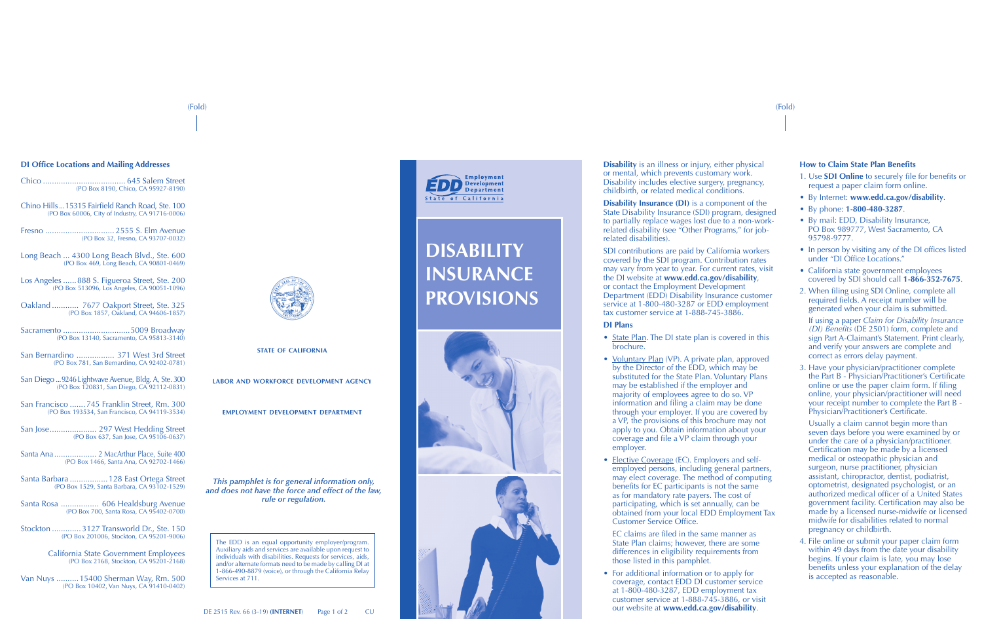# (Fold) (Fold)

- 
- 
- 
- 

- 
- 

# **DISABILITY INSURANCE PROVISIONS**



**Disability** is an illness or injury, either physical or mental, which prevents customary work. Disability includes elective surgery, pregnancy, childbirth, or related medical conditions.

**Disability Insurance (DI)** is a component of the State Disability Insurance (SDI) program, designed to partially replace wages lost due to a non-workrelated disability (see "Other Programs," for jobrelated disabilities).

SDI contributions are paid by California workers covered by the SDI program. Contribution rates may vary from year to year. For current rates, visit the DI website at **www.edd.ca.gov/disability**, or contact the Employment Development Department (EDD) Disability Insurance customer service at 1-800-480-3287 or EDD employment tax customer service at 1-888-745-3886.

- State Plan. The DI state plan is covered in this brochure.
- Voluntary Plan (VP). A private plan, approved by the Director of the EDD, which may be substituted for the State Plan. Voluntary Plans may be established if the employer and majority of employees agree to do so. VP information and filing a claim may be done through your employer. If you are covered by a VP, the provisions of this brochure may not apply to you. Obtain information about your coverage and file a VP claim through your employer.
- Elective Coverage (EC). Employers and selfemployed persons, including general partners, may elect coverage. The method of computing benefits for EC participants is not the same as for mandatory rate payers. The cost of participating, which is set annually, can be obtained from your local EDD Employment Tax Customer Service Office.

### **DI Plans**

EC claims are filed in the same manner as State Plan claims; however, there are some differences in eligibility requirements from those listed in this pamphlet.

• For additional information or to apply for coverage, contact EDD DI customer service at 1-800-480-3287, EDD employment tax customer service at 1-888-745-3886, or visit our website at **www.edd.ca.gov/disability**.

### **How to Claim State Plan Benefits**

- 1. Use **SDI Online** to securely file for benefits or request a paper claim form online.
- By Internet: **www.edd.ca.gov/disability**.
- By phone: **1-800-480-3287**.
- By mail: EDD, Disability Insurance, PO Box 989777, West Sacramento, CA 95798-9777.
- In person by visiting any of the DI offices listed under "DI Office Locations."
- California state government employees covered by SDI should call **1-866-352-7675**.
- 2. When filing using SDI Online, complete all required fields. A receipt number will be generated when your claim is submitted.

If using a paper *Claim for Disability Insurance (DI) Benefits* (DE 2501) form, complete and sign Part A-Claimant's Statement. Print clearly, and verify your answers are complete and correct as errors delay payment.

3. Have your physician/practitioner complete the Part B - Physician/Practitioner's Certificate online or use the paper claim form. If filing online, your physician/practitioner will need your receipt number to complete the Part B - Physician/Practitioner's Certificate.

Usually a claim cannot begin more than seven days before you were examined by or under the care of a physician/practitioner. Certification may be made by a licensed medical or osteopathic physician and surgeon, nurse practitioner, physician assistant, chiropractor, dentist, podiatrist, optometrist, designated psychologist, or an authorized medical officer of a United States government facility. Certification may also be made by a licensed nurse-midwife or licensed midwife for disabilities related to normal pregnancy or childbirth.

4. File online or submit your paper claim form within 49 days from the date your disability begins. If your claim is late, you may lose benefits unless your explanation of the delay is accepted as reasonable.

### **DI Office Locations and Mailing Addresses**

- Chico ..................................... 645 Salem Street (PO Box 8190, Chico, CA 95927-8190)
- Chino Hills...15315 Fairfield Ranch Road, Ste. 100 (PO Box 60006, City of Industry, CA 91716-0006)
- Fresno ............................... 2555 S. Elm Avenue (PO Box 32, Fresno, CA 93707-0032)
- Long Beach ... 4300 Long Beach Blvd., Ste. 600 (PO Box 469, Long Beach, CA 90801-0469)
- Los Angeles ......888 S. Figueroa Street, Ste. 200 (PO Box 513096, Los Angeles, CA 90051-1096)
- Oakland ............ 7677 Oakport Street, Ste. 325 (PO Box 1857, Oakland, CA 94606-1857)
- Sacramento ..............................5009 Broadway (PO Box 13140, Sacramento, CA 95813-3140)
- San Bernardino ................. 371 West 3rd Street (PO Box 781, San Bernardino, CA 92402-0781)
- San Diego ...9246 Lightwave Avenue, Bldg. A, Ste. 300 (PO Box 120831, San Diego, CA 92112-0831)
- San Francisco .......745 Franklin Street, Rm. 300 (PO Box 193534, San Francisco, CA 94119-3534)
- San Jose..................... 297 West Hedding Street (PO Box 637, San Jose, CA 95106-0637)
- Santa Ana................... 2 MacArthur Place, Suite 400 (PO Box 1466, Santa Ana, CA 92702-1466)
- Santa Barbara .................128 East Ortega Street (PO Box 1529, Santa Barbara, CA 93102-1529)
- Santa Rosa ................. 606 Healdsburg Avenue (PO Box 700, Santa Rosa, CA 95402-0700)
- Stockton ............. 3127 Transworld Dr., Ste. 150 (PO Box 201006, Stockton, CA 95201-9006)
	- California State Government Employees (PO Box 2168, Stockton, CA 95201-2168)
- Van Nuys ..........15400 Sherman Way, Rm. 500 (PO Box 10402, Van Nuys, CA 91410-0402)



**STATE OF CALIFORNIA** 

**LABOR AND WORKFORCE DEVELOPMENT AGENCY** 

**EMPLOYMENT DEVELOPMENT DEPARTMENT** 

*This pamphlet is for general information only, and does not have the force and effect of the law, rule or regulation.*

The EDD is an equal opportunity employer/program. Auxiliary aids and services are available upon request to individuals with disabilities. Requests for services, aids, and/or alternate formats need to be made by calling DI at 1-866-490-8879 (voice), or through the California Relay Services at 711.